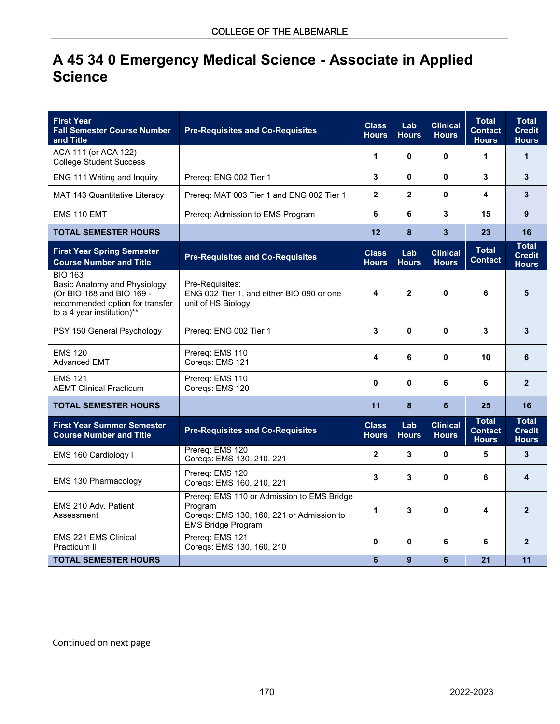## **A 45 34 0 Emergency Medical Science - Associate in Applied Science**

| <b>First Year</b><br><b>Fall Semester Course Number</b><br>and Title                                                                         | <b>Pre-Requisites and Co-Requisites</b>                                                                                         | <b>Class</b><br><b>Hours</b> | Lab<br><b>Hours</b> | <b>Clinical</b><br><b>Hours</b> | <b>Total</b><br><b>Contact</b><br><b>Hours</b> | <b>Total</b><br><b>Credit</b><br><b>Hours</b> |
|----------------------------------------------------------------------------------------------------------------------------------------------|---------------------------------------------------------------------------------------------------------------------------------|------------------------------|---------------------|---------------------------------|------------------------------------------------|-----------------------------------------------|
| ACA 111 (or ACA 122)<br><b>College Student Success</b>                                                                                       |                                                                                                                                 | 1                            | $\mathbf{0}$        | $\mathbf{0}$                    | 1                                              | 1                                             |
| ENG 111 Writing and Inquiry                                                                                                                  | Prereq: ENG 002 Tier 1                                                                                                          | 3                            | $\mathbf{0}$        | $\mathbf{0}$                    | 3                                              | 3                                             |
| MAT 143 Quantitative Literacy                                                                                                                | Prereq: MAT 003 Tier 1 and ENG 002 Tier 1                                                                                       | $\overline{2}$               | $\overline{2}$      | $\bf{0}$                        | 4                                              | 3                                             |
| EMS 110 EMT                                                                                                                                  | Prereq: Admission to EMS Program                                                                                                | 6                            | 6                   | 3                               | 15                                             | 9                                             |
| <b>TOTAL SEMESTER HOURS</b>                                                                                                                  |                                                                                                                                 | 12                           | 8                   | $\mathbf{3}$                    | 23                                             | 16                                            |
| <b>First Year Spring Semester</b><br><b>Course Number and Title</b>                                                                          | <b>Pre-Requisites and Co-Requisites</b>                                                                                         | <b>Class</b><br><b>Hours</b> | Lab<br><b>Hours</b> | <b>Clinical</b><br><b>Hours</b> | <b>Total</b><br><b>Contact</b>                 | <b>Total</b><br><b>Credit</b><br><b>Hours</b> |
| <b>BIO 163</b><br>Basic Anatomy and Physiology<br>(Or BIO 168 and BIO 169 -<br>recommended option for transfer<br>to a 4 year institution)** | Pre-Requisites:<br>ENG 002 Tier 1, and either BIO 090 or one<br>unit of HS Biology                                              | 4                            | $\mathbf{2}$        | 0                               | 6                                              | 5                                             |
| PSY 150 General Psychology                                                                                                                   | Prereq: ENG 002 Tier 1                                                                                                          | 3                            | $\mathbf{0}$        | $\mathbf{0}$                    | 3                                              | 3                                             |
| <b>EMS 120</b><br><b>Advanced EMT</b>                                                                                                        | Prereq: EMS 110<br>Coregs: EMS 121                                                                                              | 4                            | 6                   | 0                               | 10                                             | 6                                             |
| <b>EMS 121</b><br><b>AEMT Clinical Practicum</b>                                                                                             | Prereq: EMS 110<br>Coregs: EMS 120                                                                                              | 0                            | $\bf{0}$            | 6                               | 6                                              | $\overline{2}$                                |
| <b>TOTAL SEMESTER HOURS</b>                                                                                                                  |                                                                                                                                 | 11                           | 8                   | 6                               | 25                                             | 16                                            |
| <b>First Year Summer Semester</b><br><b>Course Number and Title</b>                                                                          | <b>Pre-Requisites and Co-Requisites</b>                                                                                         | <b>Class</b><br><b>Hours</b> | Lab<br><b>Hours</b> | <b>Clinical</b><br><b>Hours</b> | <b>Total</b><br><b>Contact</b><br><b>Hours</b> | <b>Total</b><br><b>Credit</b><br><b>Hours</b> |
| EMS 160 Cardiology I                                                                                                                         | Prereq: EMS 120<br>Coreqs: EMS 130, 210. 221                                                                                    | $\mathbf 2$                  | 3                   | 0                               | 5                                              | 3                                             |
| EMS 130 Pharmacology                                                                                                                         | Prereq: EMS 120<br>Coreqs: EMS 160, 210, 221                                                                                    | 3                            | 3                   | 0                               | 6                                              | 4                                             |
| EMS 210 Adv. Patient<br>Assessment                                                                                                           | Prereq: EMS 110 or Admission to EMS Bridge<br>Program<br>Coreqs: EMS 130, 160, 221 or Admission to<br><b>EMS Bridge Program</b> | 1                            | 3                   | 0                               | 4                                              | $\overline{2}$                                |
| EMS 221 EMS Clinical<br>Practicum II                                                                                                         | Prereq: EMS 121<br>Coreqs: EMS 130, 160, 210                                                                                    | 0                            | $\bf{0}$            | 6                               | 6                                              | $\overline{2}$                                |
| <b>TOTAL SEMESTER HOURS</b>                                                                                                                  |                                                                                                                                 | 6                            | 9                   | 6                               | 21                                             | 11                                            |

Continued on next page